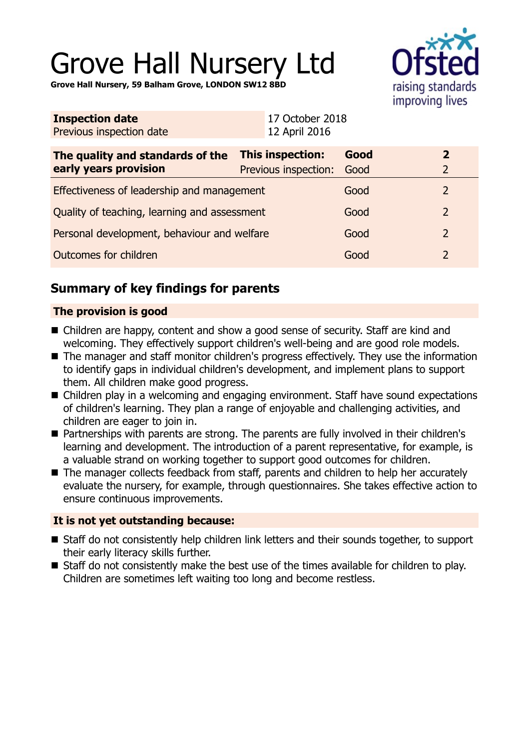# Grove Hall Nursery Ltd



**Grove Hall Nursery, 59 Balham Grove, LONDON SW12 8BD**

| <b>Inspection date</b><br>Previous inspection date        | 17 October 2018<br>12 April 2016         |              |                                  |
|-----------------------------------------------------------|------------------------------------------|--------------|----------------------------------|
| The quality and standards of the<br>early years provision | This inspection:<br>Previous inspection: | Good<br>Good | $\overline{2}$<br>$\overline{2}$ |
| Effectiveness of leadership and management                |                                          | Good         | $\overline{2}$                   |
| Quality of teaching, learning and assessment              |                                          | Good         | 2                                |
| Personal development, behaviour and welfare               |                                          | Good         | $\overline{2}$                   |
| Outcomes for children                                     |                                          | Good         | $\overline{2}$                   |
|                                                           |                                          |              |                                  |

# **Summary of key findings for parents**

## **The provision is good**

- Children are happy, content and show a good sense of security. Staff are kind and welcoming. They effectively support children's well-being and are good role models.
- The manager and staff monitor children's progress effectively. They use the information to identify gaps in individual children's development, and implement plans to support them. All children make good progress.
- Children play in a welcoming and engaging environment. Staff have sound expectations of children's learning. They plan a range of enjoyable and challenging activities, and children are eager to join in.
- Partnerships with parents are strong. The parents are fully involved in their children's learning and development. The introduction of a parent representative, for example, is a valuable strand on working together to support good outcomes for children.
- The manager collects feedback from staff, parents and children to help her accurately evaluate the nursery, for example, through questionnaires. She takes effective action to ensure continuous improvements.

## **It is not yet outstanding because:**

- Staff do not consistently help children link letters and their sounds together, to support their early literacy skills further.
- Staff do not consistently make the best use of the times available for children to play. Children are sometimes left waiting too long and become restless.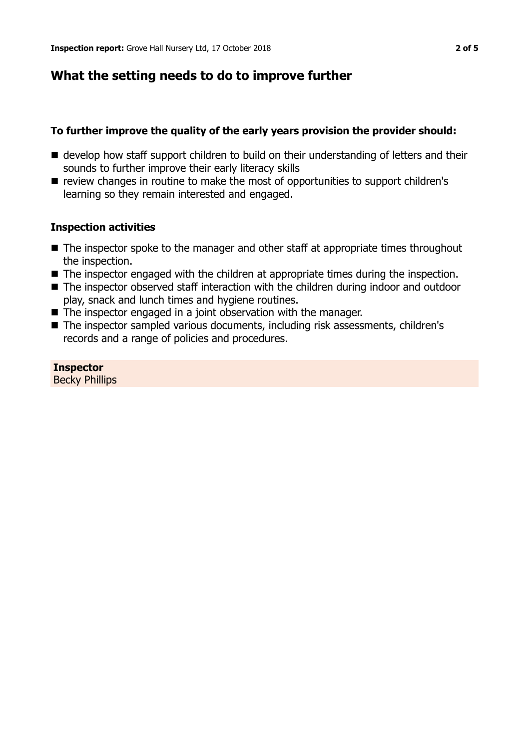# **What the setting needs to do to improve further**

## **To further improve the quality of the early years provision the provider should:**

- $\blacksquare$  develop how staff support children to build on their understanding of letters and their sounds to further improve their early literacy skills
- review changes in routine to make the most of opportunities to support children's learning so they remain interested and engaged.

## **Inspection activities**

- $\blacksquare$  The inspector spoke to the manager and other staff at appropriate times throughout the inspection.
- $\blacksquare$  The inspector engaged with the children at appropriate times during the inspection.
- The inspector observed staff interaction with the children during indoor and outdoor play, snack and lunch times and hygiene routines.
- $\blacksquare$  The inspector engaged in a joint observation with the manager.
- The inspector sampled various documents, including risk assessments, children's records and a range of policies and procedures.

**Inspector** Becky Phillips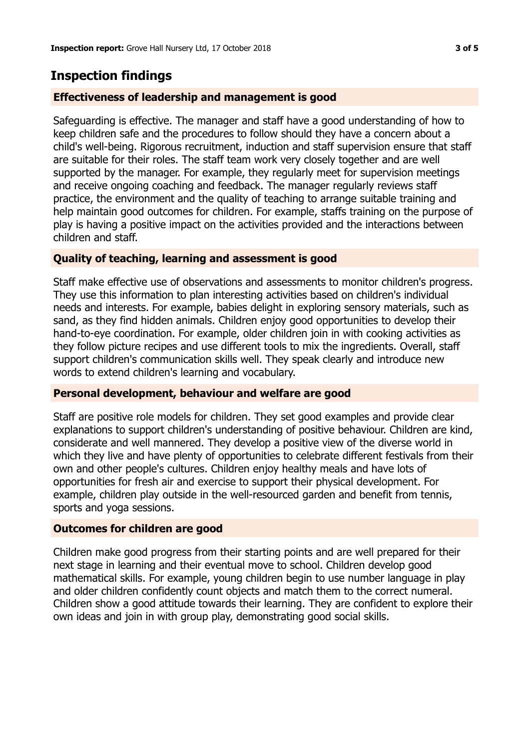# **Inspection findings**

### **Effectiveness of leadership and management is good**

Safeguarding is effective. The manager and staff have a good understanding of how to keep children safe and the procedures to follow should they have a concern about a child's well-being. Rigorous recruitment, induction and staff supervision ensure that staff are suitable for their roles. The staff team work very closely together and are well supported by the manager. For example, they regularly meet for supervision meetings and receive ongoing coaching and feedback. The manager regularly reviews staff practice, the environment and the quality of teaching to arrange suitable training and help maintain good outcomes for children. For example, staffs training on the purpose of play is having a positive impact on the activities provided and the interactions between children and staff.

### **Quality of teaching, learning and assessment is good**

Staff make effective use of observations and assessments to monitor children's progress. They use this information to plan interesting activities based on children's individual needs and interests. For example, babies delight in exploring sensory materials, such as sand, as they find hidden animals. Children enjoy good opportunities to develop their hand-to-eye coordination. For example, older children join in with cooking activities as they follow picture recipes and use different tools to mix the ingredients. Overall, staff support children's communication skills well. They speak clearly and introduce new words to extend children's learning and vocabulary.

### **Personal development, behaviour and welfare are good**

Staff are positive role models for children. They set good examples and provide clear explanations to support children's understanding of positive behaviour. Children are kind, considerate and well mannered. They develop a positive view of the diverse world in which they live and have plenty of opportunities to celebrate different festivals from their own and other people's cultures. Children enjoy healthy meals and have lots of opportunities for fresh air and exercise to support their physical development. For example, children play outside in the well-resourced garden and benefit from tennis, sports and yoga sessions.

### **Outcomes for children are good**

Children make good progress from their starting points and are well prepared for their next stage in learning and their eventual move to school. Children develop good mathematical skills. For example, young children begin to use number language in play and older children confidently count objects and match them to the correct numeral. Children show a good attitude towards their learning. They are confident to explore their own ideas and join in with group play, demonstrating good social skills.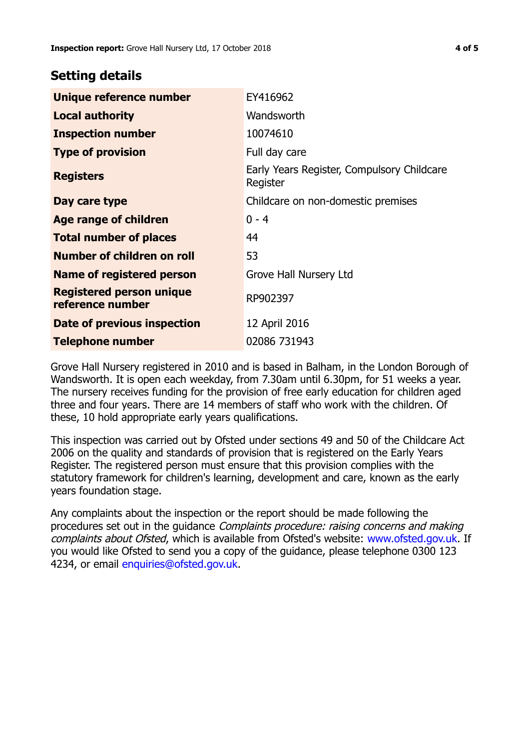## **Setting details**

| Unique reference number                             | EY416962                                               |
|-----------------------------------------------------|--------------------------------------------------------|
| <b>Local authority</b>                              | Wandsworth                                             |
| <b>Inspection number</b>                            | 10074610                                               |
| <b>Type of provision</b>                            | Full day care                                          |
| <b>Registers</b>                                    | Early Years Register, Compulsory Childcare<br>Register |
| Day care type                                       | Childcare on non-domestic premises                     |
| Age range of children                               | $0 - 4$                                                |
| <b>Total number of places</b>                       | 44                                                     |
| Number of children on roll                          | 53                                                     |
| Name of registered person                           | Grove Hall Nursery Ltd                                 |
| <b>Registered person unique</b><br>reference number | RP902397                                               |
| Date of previous inspection                         | 12 April 2016                                          |
| Telephone number                                    | 02086 731943                                           |

Grove Hall Nursery registered in 2010 and is based in Balham, in the London Borough of Wandsworth. It is open each weekday, from 7.30am until 6.30pm, for 51 weeks a year. The nursery receives funding for the provision of free early education for children aged three and four years. There are 14 members of staff who work with the children. Of these, 10 hold appropriate early years qualifications.

This inspection was carried out by Ofsted under sections 49 and 50 of the Childcare Act 2006 on the quality and standards of provision that is registered on the Early Years Register. The registered person must ensure that this provision complies with the statutory framework for children's learning, development and care, known as the early years foundation stage.

Any complaints about the inspection or the report should be made following the procedures set out in the guidance Complaints procedure: raising concerns and making complaints about Ofsted, which is available from Ofsted's website: www.ofsted.gov.uk. If you would like Ofsted to send you a copy of the guidance, please telephone 0300 123 4234, or email [enquiries@ofsted.gov.uk.](mailto:enquiries@ofsted.gov.uk)